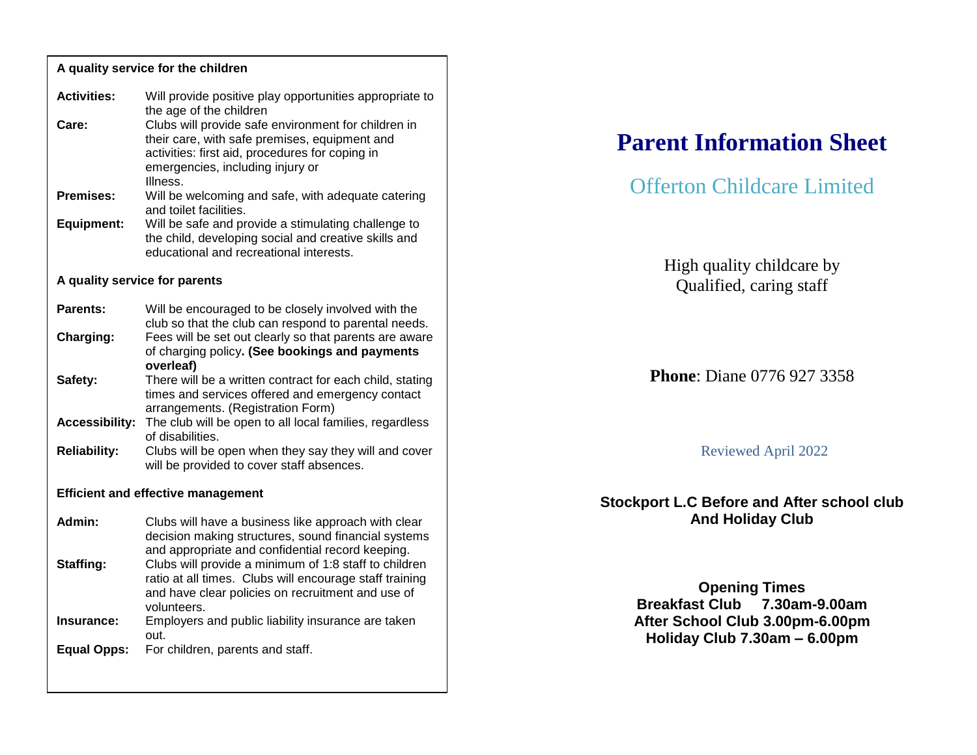| A quality service for the children        |                                                                                                                                                                                                                                                                                   |  |
|-------------------------------------------|-----------------------------------------------------------------------------------------------------------------------------------------------------------------------------------------------------------------------------------------------------------------------------------|--|
| <b>Activities:</b><br>Care:               | Will provide positive play opportunities appropriate to<br>the age of the children<br>Clubs will provide safe environment for children in<br>their care, with safe premises, equipment and<br>activities: first aid, procedures for coping in<br>emergencies, including injury or |  |
| Premises:                                 | Illness.<br>Will be welcoming and safe, with adequate catering                                                                                                                                                                                                                    |  |
| <b>Equipment:</b>                         | and toilet facilities.<br>Will be safe and provide a stimulating challenge to<br>the child, developing social and creative skills and<br>educational and recreational interests.                                                                                                  |  |
| A quality service for parents             |                                                                                                                                                                                                                                                                                   |  |
| Parents:                                  | Will be encouraged to be closely involved with the<br>club so that the club can respond to parental needs.                                                                                                                                                                        |  |
| Charging:                                 | Fees will be set out clearly so that parents are aware<br>of charging policy. (See bookings and payments<br>overleaf)                                                                                                                                                             |  |
| Safety:                                   | There will be a written contract for each child, stating<br>times and services offered and emergency contact<br>arrangements. (Registration Form)<br>The club will be open to all local families, regardless<br>of disabilities.                                                  |  |
| <b>Accessibility:</b>                     |                                                                                                                                                                                                                                                                                   |  |
| <b>Reliability:</b>                       | Clubs will be open when they say they will and cover<br>will be provided to cover staff absences.                                                                                                                                                                                 |  |
| <b>Efficient and effective management</b> |                                                                                                                                                                                                                                                                                   |  |
| Admin:                                    | Clubs will have a business like approach with clear<br>decision making structures, sound financial systems<br>and appropriate and confidential record keeping.                                                                                                                    |  |
| Staffing:                                 | Clubs will provide a minimum of 1:8 staff to children<br>ratio at all times. Clubs will encourage staff training<br>and have clear policies on recruitment and use of<br>volunteers.                                                                                              |  |
| Insurance:                                | Employers and public liability insurance are taken<br>out.                                                                                                                                                                                                                        |  |
| <b>Equal Opps:</b>                        | For children, parents and staff.                                                                                                                                                                                                                                                  |  |

# **Parent Information Sheet**

# Offerton Childcare Limited

High quality childcare by Qualified, caring staff

# **Phone**: Diane 0776 927 3358

#### Reviewed April 2022

#### **Stockport L.C Before and After school club And Holiday Club**

**Opening Times Breakfast Club 7.30am-9.00am After School Club 3.00pm-6.00pm Holiday Club 7.30am – 6.00pm**